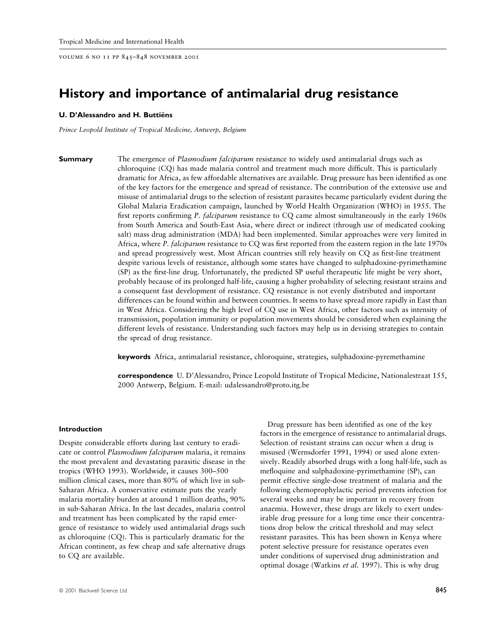VOLUME 6 NO 11 PP  $845-848$  NOVEMBER 2001

# History and importance of antimalarial drug resistance

#### U. D'Alessandro and H. Buttiëns

Prince Leopold Institute of Tropical Medicine, Antwerp, Belgium

**Summary** The emergence of *Plasmodium falciparum* resistance to widely used antimalarial drugs such as  $chloroquine (CQ)$  has made malaria control and treatment much more difficult. This is particularly dramatic for Africa, as few affordable alternatives are available. Drug pressure has been identified as one of the key factors for the emergence and spread of resistance. The contribution of the extensive use and misuse of antimalarial drugs to the selection of resistant parasites became particularly evident during the Global Malaria Eradication campaign, launched by World Health Organization (WHO) in 1955. The first reports confirming P. falciparum resistance to CQ came almost simultaneously in the early 1960s from South America and South-East Asia, where direct or indirect (through use of medicated cooking salt) mass drug administration (MDA) had been implemented. Similar approaches were very limited in Africa, where P. falciparum resistance to CQ was first reported from the eastern region in the late 1970s and spread progressively west. Most African countries still rely heavily on CQ as first-line treatment despite various levels of resistance, although some states have changed to sulphadoxine-pyrimethamine (SP) as the first-line drug. Unfortunately, the predicted SP useful therapeutic life might be very short, probably because of its prolonged half-life, causing a higher probability of selecting resistant strains and a consequent fast development of resistance. CQ resistance is not evenly distributed and important differences can be found within and between countries. It seems to have spread more rapidly in East than in West Africa. Considering the high level of CQ use in West Africa, other factors such as intensity of transmission, population immunity or population movements should be considered when explaining the different levels of resistance. Understanding such factors may help us in devising strategies to contain the spread of drug resistance.

keywords Africa, antimalarial resistance, chloroquine, strategies, sulphadoxine-pyremethamine

correspondence U. D'Alessandro, Prince Leopold Institute of Tropical Medicine, Nationalestraat 155, 2000 Antwerp, Belgium. E-mail: udalessandro@proto.itg.be

### Introduction

Despite considerable efforts during last century to eradicate or control Plasmodium falciparum malaria, it remains the most prevalent and devastating parasitic disease in the tropics (WHO 1993). Worldwide, it causes 300-500 million clinical cases, more than 80% of which live in sub-Saharan Africa. A conservative estimate puts the yearly malaria mortality burden at around 1 million deaths, 90% in sub-Saharan Africa. In the last decades, malaria control and treatment has been complicated by the rapid emergence of resistance to widely used antimalarial drugs such as chloroquine (CQ). This is particularly dramatic for the African continent, as few cheap and safe alternative drugs to CQ are available.

Drug pressure has been identified as one of the key factors in the emergence of resistance to antimalarial drugs. Selection of resistant strains can occur when a drug is misused (Wernsdorfer 1991, 1994) or used alone extensively. Readily absorbed drugs with a long half-life, such as mefloquine and sulphadoxine-pyrimethamine (SP), can permit effective single-dose treatment of malaria and the following chemoprophylactic period prevents infection for several weeks and may be important in recovery from anaemia. However, these drugs are likely to exert undesirable drug pressure for a long time once their concentrations drop below the critical threshold and may select resistant parasites. This has been shown in Kenya where potent selective pressure for resistance operates even under conditions of supervised drug administration and optimal dosage (Watkins et al. 1997). This is why drug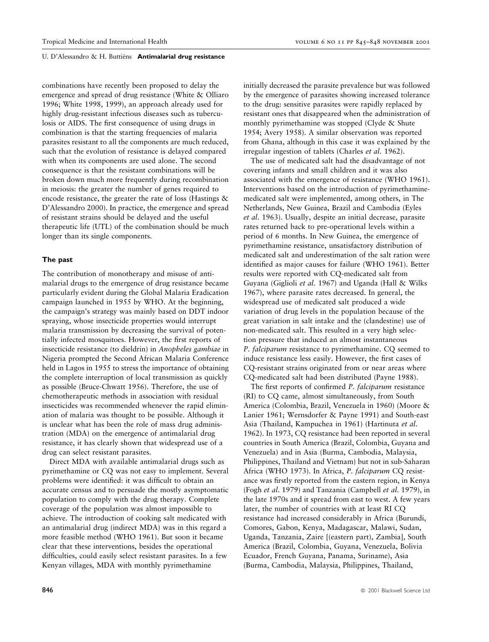## U. D'Alessandro & H. Buttiëns Antimalarial drug resistance

combinations have recently been proposed to delay the emergence and spread of drug resistance (White & Olliaro 1996; White 1998, 1999), an approach already used for highly drug-resistant infectious diseases such as tuberculosis or AIDS. The first consequence of using drugs in combination is that the starting frequencies of malaria parasites resistant to all the components are much reduced, such that the evolution of resistance is delayed compared with when its components are used alone. The second consequence is that the resistant combinations will be broken down much more frequently during recombination in meiosis: the greater the number of genes required to encode resistance, the greater the rate of loss (Hastings & D'Alessandro 2000). In practice, the emergence and spread of resistant strains should be delayed and the useful therapeutic life (UTL) of the combination should be much longer than its single components.

## The past

The contribution of monotherapy and misuse of antimalarial drugs to the emergence of drug resistance became particularly evident during the Global Malaria Eradication campaign launched in 1955 by WHO. At the beginning, the campaign's strategy was mainly based on DDT indoor spraying, whose insecticide properties would interrupt malaria transmission by decreasing the survival of potentially infected mosquitoes. However, the first reports of insecticide resistance (to dieldrin) in Anopheles gambiae in Nigeria prompted the Second African Malaria Conference held in Lagos in 1955 to stress the importance of obtaining the complete interruption of local transmission as quickly as possible (Bruce-Chwatt 1956). Therefore, the use of chemotherapeutic methods in association with residual insecticides was recommended whenever the rapid elimination of malaria was thought to be possible. Although it is unclear what has been the role of mass drug administration (MDA) on the emergence of antimalarial drug resistance, it has clearly shown that widespread use of a drug can select resistant parasites.

Direct MDA with available antimalarial drugs such as pyrimethamine or CQ was not easy to implement. Several problems were identified: it was difficult to obtain an accurate census and to persuade the mostly asymptomatic population to comply with the drug therapy. Complete coverage of the population was almost impossible to achieve. The introduction of cooking salt medicated with an antimalarial drug (indirect MDA) was in this regard a more feasible method (WHO 1961). But soon it became clear that these interventions, besides the operational difficulties, could easily select resistant parasites. In a few Kenyan villages, MDA with monthly pyrimethamine

initially decreased the parasite prevalence but was followed by the emergence of parasites showing increased tolerance to the drug: sensitive parasites were rapidly replaced by resistant ones that disappeared when the administration of monthly pyrimethamine was stopped (Clyde & Shute 1954; Avery 1958). A similar observation was reported from Ghana, although in this case it was explained by the irregular ingestion of tablets (Charles et al. 1962).

The use of medicated salt had the disadvantage of not covering infants and small children and it was also associated with the emergence of resistance (WHO 1961). Interventions based on the introduction of pyrimethaminemedicated salt were implemented, among others, in The Netherlands, New Guinea, Brazil and Cambodia (Eyles et al. 1963). Usually, despite an initial decrease, parasite rates returned back to pre-operational levels within a period of 6 months. In New Guinea, the emergence of pyrimethamine resistance, unsatisfactory distribution of medicated salt and underestimation of the salt ration were identified as major causes for failure (WHO 1961). Better results were reported with CQ-medicated salt from Guyana (Giglioli et al. 1967) and Uganda (Hall & Wilks 1967), where parasite rates decreased. In general, the widespread use of medicated salt produced a wide variation of drug levels in the population because of the great variation in salt intake and the (clandestine) use of non-medicated salt. This resulted in a very high selection pressure that induced an almost instantaneous P. falciparum resistance to pyrimethamine. CQ seemed to induce resistance less easily. However, the first cases of CQ-resistant strains originated from or near areas where CQ-medicated salt had been distributed (Payne 1988).

The first reports of confirmed P. falciparum resistance (RI) to CQ came, almost simultaneously, from South America (Colombia, Brazil, Venezuela in 1960) (Moore & Lanier 1961; Wernsdorfer & Payne 1991) and South-east Asia (Thailand, Kampuchea in 1961) (Hartinuta et al. 1962). In 1973, CQ resistance had been reported in several countries in South America (Brazil, Colombia, Guyana and Venezuela) and in Asia (Burma, Cambodia, Malaysia, Philippines, Thailand and Vietnam) but not in sub-Saharan Africa (WHO 1973). In Africa, P. falciparum CQ resistance was firstly reported from the eastern region, in Kenya (Fogh et al. 1979) and Tanzania (Campbell et al. 1979), in the late 1970s and it spread from east to west. A few years later, the number of countries with at least RI CQ resistance had increased considerably in Africa (Burundi, Comores, Gabon, Kenya, Madagascar, Malawi, Sudan, Uganda, Tanzania, Zaire [(eastern part), Zambia], South America (Brazil, Colombia, Guyana, Venezuela, Bolivia Ecuador, French Guyana, Panama, Suriname), Asia (Burma, Cambodia, Malaysia, Philippines, Thailand,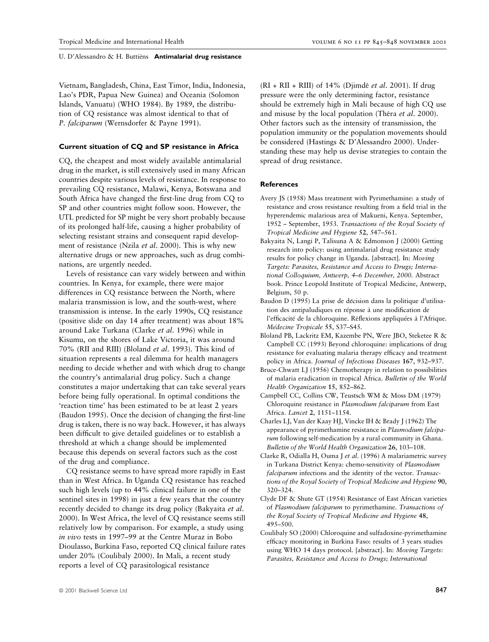U. D'Alessandro & H. Buttiëns Antimalarial drug resistance

Vietnam, Bangladesh, China, East Timor, India, Indonesia, Lao's PDR, Papua New Guinea) and Oceania (Solomon Islands, Vanuatu) (WHO 1984). By 1989, the distribution of CQ resistance was almost identical to that of P. falciparum (Wernsdorfer & Payne 1991).

#### Current situation of CQ and SP resistance in Africa

CQ, the cheapest and most widely available antimalarial drug in the market, is still extensively used in many African countries despite various levels of resistance. In response to prevailing CQ resistance, Malawi, Kenya, Botswana and South Africa have changed the first-line drug from CQ to SP and other countries might follow soon. However, the UTL predicted for SP might be very short probably because of its prolonged half-life, causing a higher probability of selecting resistant strains and consequent rapid development of resistance (Nzila et al. 2000). This is why new alternative drugs or new approaches, such as drug combinations, are urgently needed.

Levels of resistance can vary widely between and within countries. In Kenya, for example, there were major differences in CQ resistance between the North, where malaria transmission is low, and the south-west, where transmission is intense. In the early 1990s, CQ resistance (positive slide on day 14 after treatment) was about 18% around Lake Turkana (Clarke et al. 1996) while in Kisumu, on the shores of Lake Victoria, it was around 70% (RII and RIII) (Bloland et al. 1993). This kind of situation represents a real dilemma for health managers needing to decide whether and with which drug to change the country's antimalarial drug policy. Such a change constitutes a major undertaking that can take several years before being fully operational. In optimal conditions the `reaction time' has been estimated to be at least 2 years  $(Baudon 1995)$ . Once the decision of changing the first-line drug is taken, there is no way back. However, it has always been difficult to give detailed guidelines or to establish a threshold at which a change should be implemented because this depends on several factors such as the cost of the drug and compliance.

CQ resistance seems to have spread more rapidly in East than in West Africa. In Uganda CQ resistance has reached such high levels (up to 44% clinical failure in one of the sentinel sites in 1998) in just a few years that the country recently decided to change its drug policy (Bakyaita et al. 2000). In West Africa, the level of CQ resistance seems still relatively low by comparison. For example, a study using in vivo tests in 1997-99 at the Centre Muraz in Bobo Dioulasso, Burkina Faso, reported CQ clinical failure rates under 20% (Coulibaly 2000). In Mali, a recent study reports a level of CQ parasitological resistance

 $(RI + RII + RIII)$  of 14% (Djimdé *et al.* 2001). If drug pressure were the only determining factor, resistance should be extremely high in Mali because of high CQ use and misuse by the local population (Théra et al. 2000). Other factors such as the intensity of transmission, the population immunity or the population movements should be considered (Hastings & D'Alessandro 2000). Understanding these may help us devise strategies to contain the spread of drug resistance.

## **References**

- Avery JS (1958) Mass treatment with Pyrimethamine: a study of resistance and cross resistance resulting from a field trial in the hyperendemic malarious area of Makueni, Kenya. September, 1952 - September, 1953. Transactions of the Royal Society of Tropical Medicine and Hygiene 52, 547-561.
- Bakyaita N, Langi P, Talisuna A & Edmonson J (2000) Getting research into policy: using antimalarial drug resistance study results for policy change in Uganda. [abstract]. In: Moving Targets: Parasites, Resistance and Access to Drugs; International Colloquium, Antwerp, 4–6 December, 2000. Abstract book. Prince Leopold Institute of Tropical Medicine, Antwerp, Belgium, 50 p.
- Baudon D (1995) La prise de décision dans la politique d'utilisation des antipaludiques en réponse à une modification de l'efficacité de la chloroquine. Réflexions appliquées à l'Afrique. Médecine Tropicale 55, S37-S45.
- Bloland PB, Lackritz EM, Kazembe PN, Were JBO, Steketee R & Campbell CC (1993) Beyond chloroquine: implications of drug resistance for evaluating malaria therapy efficacy and treatment policy in Africa. Journal of Infectious Diseases 167, 932-937.
- Bruce-Chwatt LJ (1956) Chemotherapy in relation to possibilities of malaria eradication in tropical Africa. Bulletin of the World Health Organization 15, 852-862.
- Campbell CC, Collins CW, Teustsch WM & Moss DM (1979) Chloroquine resistance in Plasmodium falciparum from East Africa. Lancet 2, 1151-1154.
- Charles LJ, Van der Kaay HJ, Vincke IH & Brady J (1962) The appearance of pyrimethamine resistance in Plasmodium falciparum following self-medication by a rural community in Ghana. Bulletin of the World Health Organization 26, 103-108.
- Clarke R, Odialla H, Ouma J et al. (1996) A malariametric survey in Turkana District Kenya: chemo-sensitivity of Plasmodium falciparum infections and the identity of the vector. Transactions of the Royal Society of Tropical Medicine and Hygiene 90, 320±324.
- Clyde DF & Shute GT (1954) Resistance of East African varieties of Plasmodium falciparum to pyrimethamine. Transactions of the Royal Society of Tropical Medicine and Hygiene 48, 495±500.
- Coulibaly SO (2000) Chloroquine and sulfadoxine-pyrimethamine efficacy monitoring in Burkina Faso: results of 3 years studies using WHO 14 days protocol. [abstract]. In: Moving Targets: Parasites, Resistance and Access to Drugs; International